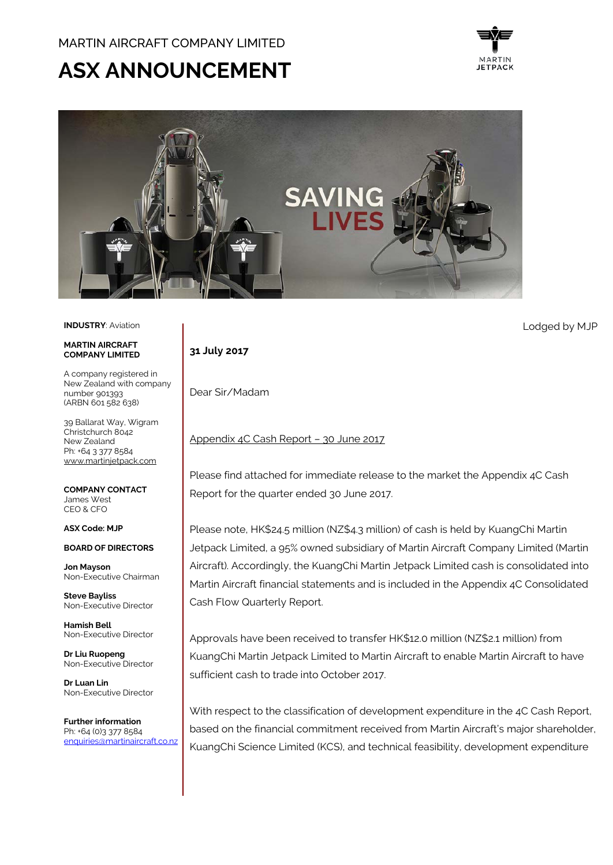# **ASX ANNOUNCEMENT**





## **INDUSTRY**: Aviation

#### **MARTIN AIRCRAFT COMPANY LIMITED**

A company registered in New Zealand with company number 901393 (ARBN 601 582 638)

39 Ballarat Way, Wigram Christchurch 8042 New Zealand Ph: +64 3 377 8584 [www.martinjetpack.com](http://www.martinjetpack.com/)

**COMPANY CONTACT** James West CEO & CFO

## **ASX Code: MJP**

**BOARD OF DIRECTORS**

**Jon Mayson**  Non-Executive Chairman

**Steve Bayliss** Non-Executive Director

**Hamish Bell** Non-Executive Director

**Dr Liu Ruopeng**  Non-Executive Director

**Dr Luan Lin** Non-Executive Director

**Further information** Ph: +64 (0)3 377 8584 [enquiries@martinaircraft.co.nz](mailto:enquiries@martinaircraft.co.nz)

## **31 July 2017**

Dear Sir/Madam

## Appendix 4C Cash Report – 30 June 2017

Please find attached for immediate release to the market the Appendix 4C Cash Report for the quarter ended 30 June 2017.

Please note, HK\$24.5 million (NZ\$4.3 million) of cash is held by KuangChi Martin Jetpack Limited, a 95% owned subsidiary of Martin Aircraft Company Limited (Martin Aircraft). Accordingly, the KuangChi Martin Jetpack Limited cash is consolidated into Martin Aircraft financial statements and is included in the Appendix 4C Consolidated Cash Flow Quarterly Report.

Approvals have been received to transfer HK\$12.0 million (NZ\$2.1 million) from KuangChi Martin Jetpack Limited to Martin Aircraft to enable Martin Aircraft to have sufficient cash to trade into October 2017.

With respect to the classification of development expenditure in the 4C Cash Report, based on the financial commitment received from Martin Aircraft's major shareholder, KuangChi Science Limited (KCS), and technical feasibility, development expenditure

Lodged by MJP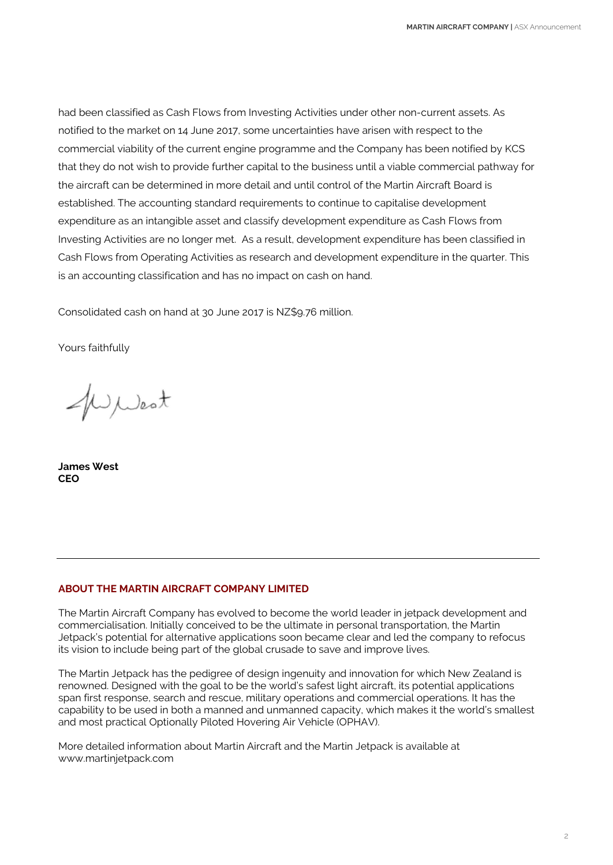had been classified as Cash Flows from Investing Activities under other non-current assets. As notified to the market on 14 June 2017, some uncertainties have arisen with respect to the commercial viability of the current engine programme and the Company has been notified by KCS that they do not wish to provide further capital to the business until a viable commercial pathway for the aircraft can be determined in more detail and until control of the Martin Aircraft Board is established. The accounting standard requirements to continue to capitalise development expenditure as an intangible asset and classify development expenditure as Cash Flows from Investing Activities are no longer met. As a result, development expenditure has been classified in Cash Flows from Operating Activities as research and development expenditure in the quarter. This is an accounting classification and has no impact on cash on hand.

Consolidated cash on hand at 30 June 2017 is NZ\$9.76 million.

Yours faithfully

WWest

**James West CEO**

## **ABOUT THE MARTIN AIRCRAFT COMPANY LIMITED**

The Martin Aircraft Company has evolved to become the world leader in jetpack development and commercialisation. Initially conceived to be the ultimate in personal transportation, the Martin Jetpack's potential for alternative applications soon became clear and led the company to refocus its vision to include being part of the global crusade to save and improve lives.

The Martin Jetpack has the pedigree of design ingenuity and innovation for which New Zealand is renowned. Designed with the goal to be the world's safest light aircraft, its potential applications span first response, search and rescue, military operations and commercial operations. It has the capability to be used in both a manned and unmanned capacity, which makes it the world's smallest and most practical Optionally Piloted Hovering Air Vehicle (OPHAV).

More detailed information about Martin Aircraft and the Martin Jetpack is available at www.martinjetpack.com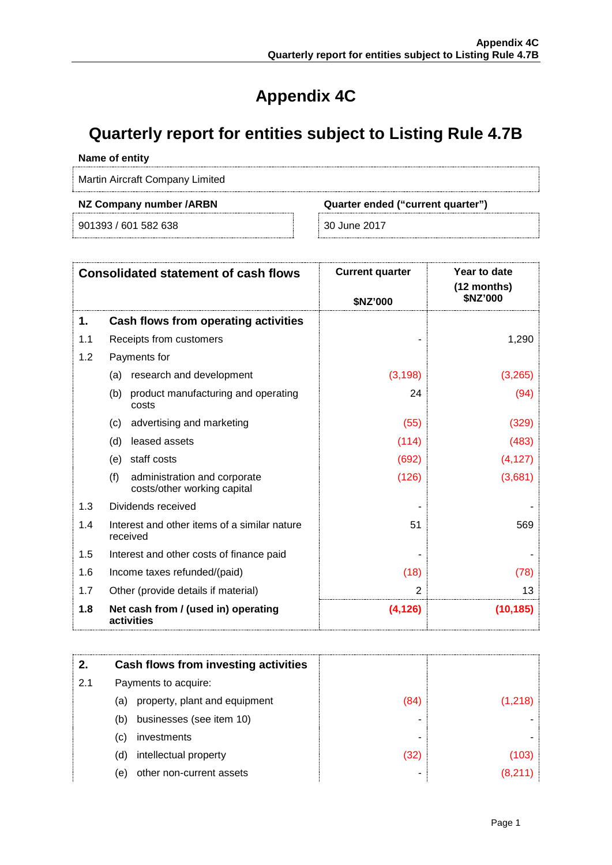## **Appendix 4C**

## **Quarterly report for entities subject to Listing Rule 4.7B**

## **Name of entity**

Martin Aircraft Company Limited

901393 / 601 582 638 30 June 2017

**NZ Company number /ARBN Quarter ended ("current quarter")**

| <b>Consolidated statement of cash flows</b> |                                                                    | <b>Current quarter</b><br>\$NZ'000 | Year to date<br>$(12$ months)<br>\$NZ'000 |
|---------------------------------------------|--------------------------------------------------------------------|------------------------------------|-------------------------------------------|
| 1.                                          | Cash flows from operating activities                               |                                    |                                           |
| 1.1                                         | Receipts from customers                                            |                                    | 1,290                                     |
| 1.2                                         | Payments for                                                       |                                    |                                           |
|                                             | research and development<br>(a)                                    | (3, 198)                           | (3,265)                                   |
|                                             | product manufacturing and operating<br>(b)<br>costs                | 24                                 | (94)                                      |
|                                             | advertising and marketing<br>(c)                                   | (55)                               | (329)                                     |
|                                             | leased assets<br>(d)                                               | (114)                              | (483)                                     |
|                                             | staff costs<br>(e)                                                 | (692)                              | (4, 127)                                  |
|                                             | (f)<br>administration and corporate<br>costs/other working capital | (126)                              | (3,681)                                   |
| 1.3                                         | Dividends received                                                 |                                    |                                           |
| 1.4                                         | Interest and other items of a similar nature<br>received           | 51                                 | 569                                       |
| 1.5                                         | Interest and other costs of finance paid                           |                                    |                                           |
| 1.6                                         | Income taxes refunded/(paid)                                       | (18)                               | (78)                                      |
| 1.7                                         | Other (provide details if material)                                | $\overline{2}$                     | 13                                        |
| 1.8                                         | Net cash from / (used in) operating<br>activities                  | (4, 126)                           | (10, 185)                                 |

|     |     | Cash flows from investing activities |     |  |
|-----|-----|--------------------------------------|-----|--|
| 2.1 |     | Payments to acquire:                 |     |  |
|     | (a) | property, plant and equipment        | (84 |  |
|     | (b) | businesses (see item 10)             |     |  |
|     | (C) | investments                          |     |  |
|     | (d) | intellectual property                | (32 |  |
|     | (e) | other non-current assets             |     |  |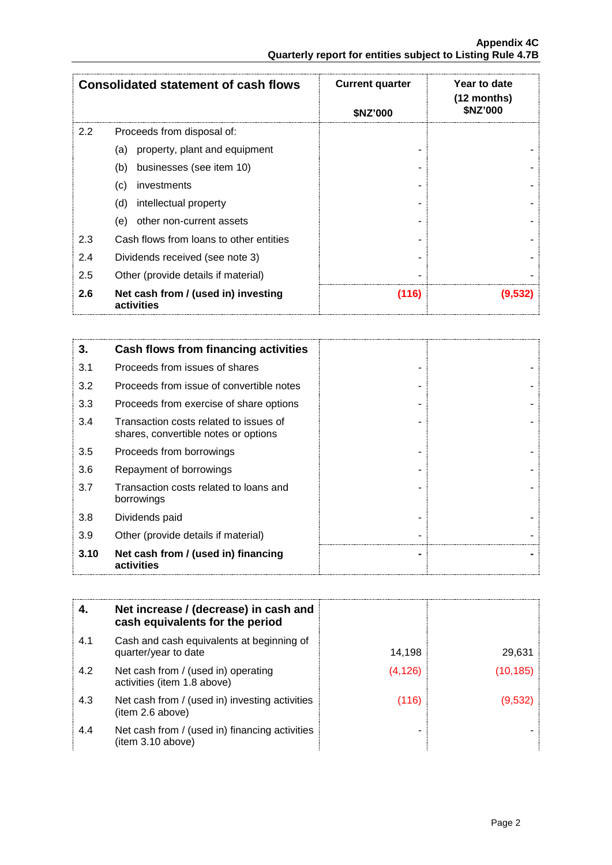| <b>Consolidated statement of cash flows</b> |                                                   | <b>Current quarter</b><br><b>SNZ'000</b> | Year to date<br>(12 months)<br>\$NZ'000 |
|---------------------------------------------|---------------------------------------------------|------------------------------------------|-----------------------------------------|
| 2.2                                         | Proceeds from disposal of:                        |                                          |                                         |
|                                             | property, plant and equipment<br>(a)              |                                          |                                         |
|                                             | businesses (see item 10)<br>(b)                   |                                          |                                         |
|                                             | (c)<br>investments                                |                                          |                                         |
|                                             | intellectual property<br>(d)                      |                                          |                                         |
|                                             | other non-current assets<br>(e)                   |                                          |                                         |
| 2.3                                         | Cash flows from loans to other entities           |                                          |                                         |
| 2.4                                         | Dividends received (see note 3)                   |                                          |                                         |
| 2.5                                         | Other (provide details if material)               |                                          |                                         |
| 2.6                                         | Net cash from / (used in) investing<br>activities | (116)                                    | (9.532)                                 |

| 3.   | Cash flows from financing activities                                           |  |
|------|--------------------------------------------------------------------------------|--|
| 3.1  | Proceeds from issues of shares                                                 |  |
| 3.2  | Proceeds from issue of convertible notes                                       |  |
| 3.3  | Proceeds from exercise of share options                                        |  |
| 3.4  | Transaction costs related to issues of<br>shares, convertible notes or options |  |
| 3.5  | Proceeds from borrowings                                                       |  |
| 3.6  | Repayment of borrowings                                                        |  |
| 3.7  | Transaction costs related to loans and<br>borrowings                           |  |
| 3.8  | Dividends paid                                                                 |  |
| 3.9  | Other (provide details if material)                                            |  |
| 3.10 | Net cash from / (used in) financing<br>activities                              |  |

|     | Net increase / (decrease) in cash and<br>cash equivalents for the period |          |           |
|-----|--------------------------------------------------------------------------|----------|-----------|
| 4.1 | Cash and cash equivalents at beginning of<br>quarter/year to date        | 14,198   | 29,631    |
| 4.2 | Net cash from / (used in) operating<br>activities (item 1.8 above)       | (4, 126) | (10, 185) |
| 4.3 | Net cash from / (used in) investing activities<br>(item 2.6 above)       | (116)    | (9.532    |
| 4.4 | Net cash from / (used in) financing activities<br>(item 3.10 above)      |          |           |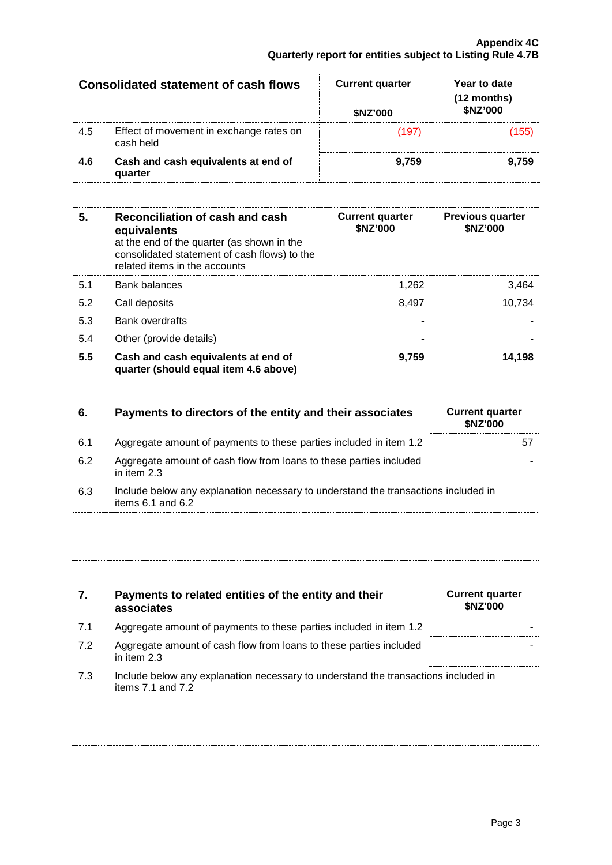| <b>Consolidated statement of cash flows</b> |                                                      | <b>Current quarter</b><br>\$NZ'000 | Year to date<br>(12 months)<br>\$NZ'000 |
|---------------------------------------------|------------------------------------------------------|------------------------------------|-----------------------------------------|
| 4.5                                         | Effect of movement in exchange rates on<br>cash held |                                    |                                         |
| 4.6                                         | Cash and cash equivalents at end of<br>quarter       | 9.759                              | 9.759                                   |

| 5.  | Reconciliation of cash and cash<br>equivalents<br>at the end of the quarter (as shown in the<br>consolidated statement of cash flows) to the<br>related items in the accounts | <b>Current quarter</b><br>\$NZ'000 | <b>Previous quarter</b><br>\$NZ'000 |
|-----|-------------------------------------------------------------------------------------------------------------------------------------------------------------------------------|------------------------------------|-------------------------------------|
| 5.1 | <b>Bank balances</b>                                                                                                                                                          | 1.262                              | 3,464                               |
| 5.2 | Call deposits                                                                                                                                                                 | 8.497                              | 10.734                              |
| 5.3 | <b>Bank overdrafts</b>                                                                                                                                                        |                                    |                                     |
| 5.4 | Other (provide details)                                                                                                                                                       |                                    |                                     |
| 5.5 | Cash and cash equivalents at end of<br>quarter (should equal item 4.6 above)                                                                                                  | 9,759                              | 14.198                              |

## **6.** Payments to directors of the entity and their associates

- 6.1 Aggregate amount of payments to these parties included in item 1.2
- 6.2 Aggregate amount of cash flow from loans to these parties included in item 2.3
- 6.3 Include below any explanation necessary to understand the transactions included in items 6.1 and 6.2
- **7. Payments to related entities of the entity and their associates**
- 7.1 Aggregate amount of payments to these parties included in item 1.2
- 7.2 Aggregate amount of cash flow from loans to these parties included in item 2.3
- 7.3 Include below any explanation necessary to understand the transactions included in items 7.1 and 7.2

| <b>Current quarter</b><br>\$NZ'000 |    |
|------------------------------------|----|
|                                    | 57 |
|                                    |    |

| <b>Current quarter</b><br>\$NZ'000 |  |
|------------------------------------|--|
|                                    |  |
|                                    |  |
|                                    |  |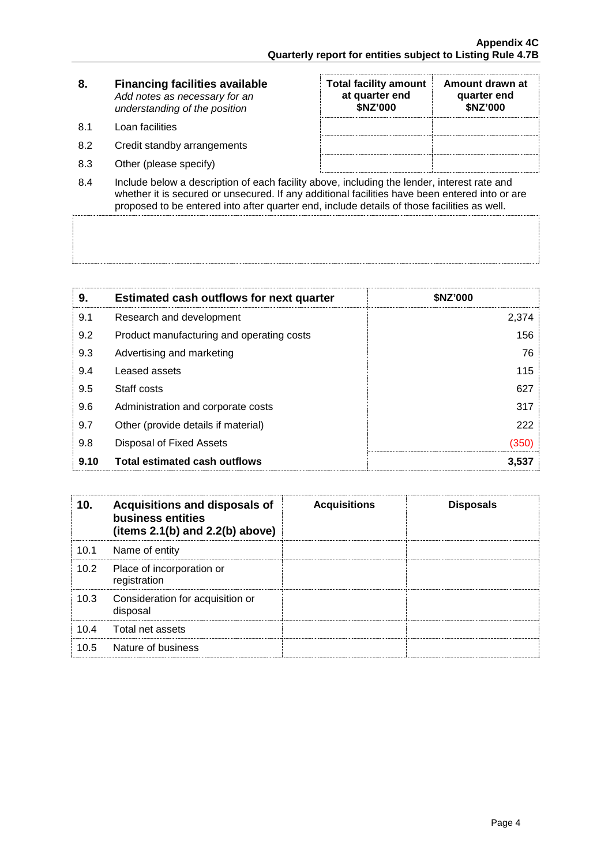| 8. | <b>Financing facilities available</b> |
|----|---------------------------------------|
|    | Add notes as necessary for an         |
|    | understanding of the position         |

- 8.1 Loan facilities
- 8.2 Credit standby arrangements
- 8.3 Other (please specify)

| <b>Total facility amount</b><br>at quarter end<br>\$NZ'000 | Amount drawn at<br>quarter end<br>\$NZ'000 |
|------------------------------------------------------------|--------------------------------------------|
|                                                            |                                            |
|                                                            |                                            |
|                                                            |                                            |

8.4 Include below a description of each facility above, including the lender, interest rate and whether it is secured or unsecured. If any additional facilities have been entered into or are proposed to be entered into after quarter end, include details of those facilities as well.

| 9.   | <b>Estimated cash outflows for next quarter</b> | <b>SNZ'000</b> |
|------|-------------------------------------------------|----------------|
| 9.1  | Research and development                        | 2,374          |
| 9.2  | Product manufacturing and operating costs       | 156            |
| 9.3  | Advertising and marketing                       | 76             |
| 9.4  | Leased assets                                   | 115            |
| 9.5  | Staff costs                                     | 627            |
| 9.6  | Administration and corporate costs              | 317            |
| 9.7  | Other (provide details if material)             | 222            |
| 9.8  | Disposal of Fixed Assets                        | (350           |
| 9.10 | <b>Total estimated cash outflows</b>            | 3.537          |

|      | Acquisitions and disposals of<br>business entities<br>(items $2.1(b)$ and $2.2(b)$ above) | <b>Acquisitions</b> | <b>Disposals</b> |
|------|-------------------------------------------------------------------------------------------|---------------------|------------------|
| 10.1 | Name of entity                                                                            |                     |                  |
| 10.2 | Place of incorporation or<br>registration                                                 |                     |                  |
| 10.3 | Consideration for acquisition or<br>disposal                                              |                     |                  |
| 10.4 | Total net assets                                                                          |                     |                  |
| 10.5 | Nature of business                                                                        |                     |                  |